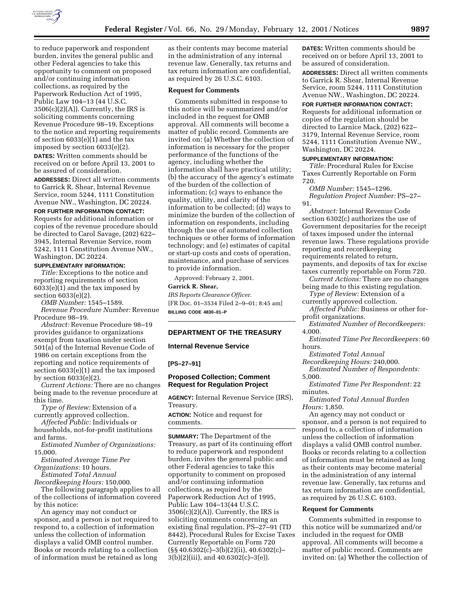

to reduce paperwork and respondent burden, invites the general public and other Federal agencies to take this opportunity to comment on proposed and/or continuing information collections, as required by the Paperwork Reduction Act of 1995, Public Law 104–13 (44 U.S.C.  $3506(c)(2)(A)$ . Currently, the IRS is soliciting comments concerning Revenue Procedure 98–19, Exceptions to the notice and reporting requirements of section 6033(e)(1) and the tax imposed by section 6033(e)(2).

**DATES:** Written comments should be received on or before April 13, 2001 to be assured of consideration.

**ADDRESSES:** Direct all written comments to Garrick R. Shear, Internal Revenue Service, room 5244, 1111 Constitution Avenue NW., Washington, DC 20224.

#### **FOR FURTHER INFORMATION CONTACT:**

Requests for additional information or copies of the revenue procedure should be directed to Carol Savage, (202) 622– 3945, Internal Revenue Service, room 5242, 1111 Constitution Avenue NW., Washington, DC 20224.

## **SUPPLEMENTARY INFORMATION:**

*Title:* Exceptions to the notice and reporting requirements of section 6033(e)(1) and the tax imposed by section 6033(e)(2).

*OMB Number:* 1545–1589.

*Revenue Procedure Number:* Revenue Procedure 98–19.

*Abstract:* Revenue Procedure 98–19 provides guidance to organizations exempt from taxation under section 501(a) of the Internal Revenue Code of 1986 on certain exceptions from the reporting and notice requirements of section 6033(e)(1) and the tax imposed by section 6033(e)(2).

*Current Actions:* There are no changes being made to the revenue procedure at this time.

*Type of Review:* Extension of a currently approved collection.

*Affected Public:* Individuals or households, not-for-profit institutions and farms.

*Estimated Number of Organizations:* 15,000.

*Estimated Average Time Per Organizations:* 10 hours.

*Estimated Total Annual*

*Recordkeeping Hours:* 150,000.

The following paragraph applies to all of the collections of information covered by this notice:

An agency may not conduct or sponsor, and a person is not required to respond to, a collection of information unless the collection of information displays a valid OMB control number. Books or records relating to a collection of information must be retained as long

as their contents may become material in the administration of any internal revenue law. Generally, tax returns and tax return information are confidential, as required by 26 U.S.C. 6103.

## **Request for Comments**

Comments submitted in response to this notice will be summarized and/or included in the request for OMB approval. All comments will become a matter of public record. Comments are invited on: (a) Whether the collection of information is necessary for the proper performance of the functions of the agency, including whether the information shall have practical utility; (b) the accuracy of the agency's estimate of the burden of the collection of information; (c) ways to enhance the quality, utility, and clarity of the information to be collected; (d) ways to minimize the burden of the collection of information on respondents, including through the use of automated collection techniques or other forms of information technology; and (e) estimates of capital or start-up costs and costs of operation, maintenance, and purchase of services to provide information.

Approved: February 2, 2001.

## **Garrick R. Shear,**

*IRS Reports Clearance Officer.* [FR Doc. 01–3534 Filed 2–9–01; 8:45 am] **BILLING CODE 4830–01–P**

### **DEPARTMENT OF THE TREASURY**

## **Internal Revenue Service**

### **[PS–27–91]**

## **Proposed Collection; Comment Request for Regulation Project**

**AGENCY:** Internal Revenue Service (IRS), Treasury.

**ACTION:** Notice and request for comments.

**SUMMARY:** The Department of the Treasury, as part of its continuing effort to reduce paperwork and respondent burden, invites the general public and other Federal agencies to take this opportunity to comment on proposed and/or continuing information collections, as required by the Paperwork Reduction Act of 1995, Public Law 104–13(44 U.S.C.  $3506(c)(2)(A)$ . Currently, the IRS is soliciting comments concerning an existing final regulation, PS–27–91 (TD 8442), Procedural Rules for Excise Taxes Currently Reportable on Form 720  $(S\ S\ 40.6302(c)-3(b)(2)(ii), 40.6302(c)-$ 3(b)(2)(iii), and 40.6302(c)–3(e)).

**DATES:** Written comments should be received on or before April 13, 2001 to be assured of consideration.

**ADDRESSES:** Direct all written comments to Garrick R. Shear, Internal Revenue Service, room 5244, 1111 Constitution Avenue NW., Washington, DC 20224.

## **FOR FURTHER INFORMATION CONTACT:**

Requests for additional information or copies of the regulation should be directed to Larnice Mack, (202) 622– 3179, Internal Revenue Service, room 5244, 1111 Constitution Avenue NW., Washington, DC 20224.

## **SUPPLEMENTARY INFORMATION:**

*Title:* Procedural Rules for Excise Taxes Currently Reportable on Form 720.

*OMB Number:* 1545–1296. *Regulation Project Number:* PS–27– 91.

*Abstract:* Internal Revenue Code section 6302(c) authorizes the use of Government depositaries for the receipt of taxes imposed under the internal revenue laws. These regulations provide reporting and recordkeeping requirements related to return, payments, and deposits of tax for excise taxes currently reportable on Form 720.

*Current Actions:* There are no changes being made to this existing regulation.

*Type of Review:* Extension of a currently approved collection.

*Affected Public:* Business or other forprofit organizations.

*Estimated Number of Recordkeepers:* 4,000.

*Estimated Time Per Recordkeepers:* 60 hours.

*Estimated Total Annual*

*Recordkeeping Hours:* 240,000. *Estimated Number of Respondents:*

5,000.

*Estimated Time Per Respondent:* 22 minutes.

*Estimated Total Annual Burden Hours:* 1,850.

An agency may not conduct or sponsor, and a person is not required to respond to, a collection of information unless the collection of information displays a valid OMB control number. Books or records relating to a collection of information must be retained as long as their contents may become material in the administration of any internal revenue law. Generally, tax returns and tax return information are confidential, as required by 26 U.S.C. 6103.

#### **Request for Comments**

Comments submitted in response to this notice will be summarized and/or included in the request for OMB approval. All comments will become a matter of public record. Comments are invited on: (a) Whether the collection of